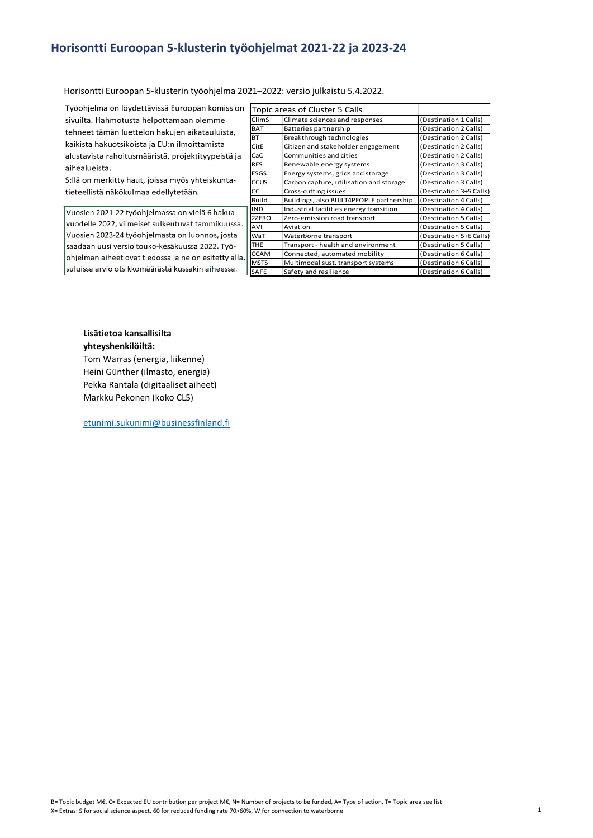## Horisontti Euroopan 5-klusterin työohjelmat 2021-22 ja 2023-24

Horisontti Euroopan 5-klusterin työohjelma 2021–2022: versio julkaistu 5.4.2022.

Työohjelma on löydettävissä Euroopan komission sivuilta. Hahmotusta helpottamaan olemme tehneet tämän luettelon hakujen aikatauluista. kaikista hakuotsikoista ja EU:n ilmoittamista alustavista rahoitusmääristä, projektityypeistä ja aihealueista.

S:llä on merkitty haut, joissa myös yhteiskuntatieteellistä näkökulmaa edellytetään.

Vuosien 2021-22 työohjelmassa on vielä 6 hakua vuodelle 2022, viimeiset sulkeutuvat tammikuussa. Vuosien 2023-24 työohjelmasta on luonnos, josta saadaan uusi versio touko-kesäkuussa 2022. Työohjelman aiheet ovat tiedossa ja ne on esitetty alla, suluissa arvio otsikkomäärästä kussakin aiheessa.

|                         | ohjelmat 2021-22 ja 2023-24                        |                                                |
|-------------------------|----------------------------------------------------|------------------------------------------------|
|                         |                                                    |                                                |
|                         |                                                    |                                                |
|                         |                                                    |                                                |
|                         |                                                    |                                                |
|                         | 21–2022: versio julkaistu 5.4.2022.                |                                                |
|                         |                                                    |                                                |
|                         | Topic areas of Cluster 5 Calls                     |                                                |
| ClimS                   | Climate sciences and responses                     | (Destination 1 Calls)                          |
| <b>BAT</b><br><b>BT</b> | Batteries partnership<br>Breakthrough technologies | (Destination 2 Calls)                          |
| CitE                    | Citizen and stakeholder engagement                 | (Destination 2 Calls)<br>(Destination 2 Calls) |
| CaC                     | Communities and cities                             | (Destination 2 Calls)                          |
| <b>RES</b>              | Renewable energy systems                           | (Destination 3 Calls)                          |
| <b>ESGS</b>             | Energy systems, grids and storage                  | (Destination 3 Calls)                          |
| ccus                    | Carbon capture, utilisation and storage            | (Destination 3 Calls)                          |
| CC                      | Cross-cutting issues                               | (Destination 3+5 Calls)                        |
| <b>Build</b>            | Buildings, also BUILT4PEOPLE partnership           | (Destination 4 Calls)                          |
| <b>IND</b>              | Industrial facilities energy transition            | (Destination 4 Calls)                          |
| 2ZERO                   | Zero-emission road transport                       | (Destination 5 Calls)                          |
| AVI                     | Aviation                                           | (Destination 5 Calls)                          |
| WaT                     | Waterborne transport                               | (Destination 5+6 Calls)                        |
| <b>THE</b>              | Transport - health and environment                 | (Destination 5 Calls)                          |
| <b>CCAM</b>             | Connected, automated mobility                      | (Destination 6 Calls)                          |
| <b>MSTS</b>             | Multimodal sust. transport systems                 | (Destination 6 Calls)                          |
|                         |                                                    |                                                |
| SAFE                    | Safety and resilience                              | (Destination 6 Calls)                          |
|                         |                                                    |                                                |
|                         |                                                    |                                                |
|                         |                                                    |                                                |
|                         |                                                    |                                                |
|                         |                                                    |                                                |
|                         |                                                    |                                                |

## Lisätietoa kansallisilta yhteyshenkilöiltä:

Tom Warras (energia, liikenne) Heini Günther (ilmasto, energia) Pekka Rantala (digitaaliset aiheet) Markku Pekonen (koko CL5)

etunimi.sukunimi@businessfinland.fi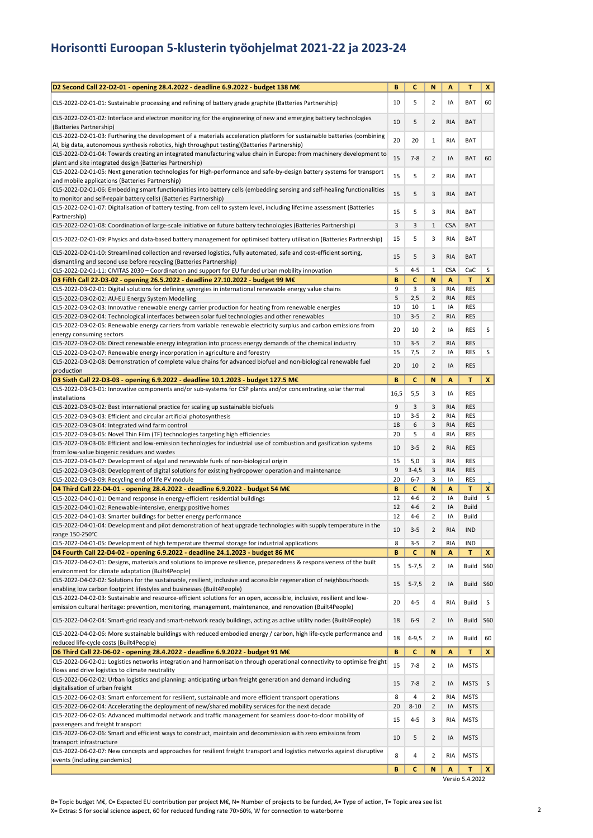## Horisontti Euroopan 5-klusterin työohjelmat 2021-22 ja 2023-24

| D2 Second Call 22-D2-01 - opening 28.4.2022 - deadline 6.9.2022 - budget 138 M€                                                                                                                                                              | B        | C                  | N                                | А                 | T                 | X            |
|----------------------------------------------------------------------------------------------------------------------------------------------------------------------------------------------------------------------------------------------|----------|--------------------|----------------------------------|-------------------|-------------------|--------------|
| CL5-2022-D2-01-01: Sustainable processing and refining of battery grade graphite (Batteries Partnership)                                                                                                                                     | 10       | 5                  | $\overline{2}$                   | IA                | <b>BAT</b>        | 60           |
| CL5-2022-D2-01-02: Interface and electron monitoring for the engineering of new and emerging battery technologies<br>(Batteries Partnership)                                                                                                 | 10       | 5                  | $\overline{2}$                   | <b>RIA</b>        | BAT               |              |
| CL5-2022-D2-01-03: Furthering the development of a materials acceleration platform for sustainable batteries (combining<br>AI, big data, autonomous synthesis robotics, high throughput testing)(Batteries Partnership)                      | 20       | 20                 | $\mathbf{1}$                     | <b>RIA</b>        | <b>BAT</b>        |              |
| CL5-2022-D2-01-04: Towards creating an integrated manufacturing value chain in Europe: from machinery development to<br>plant and site integrated design (Batteries Partnership)                                                             | 15       | $7 - 8$            | $\overline{2}$                   | IA                | BAT               | 60           |
| CL5-2022-D2-01-05: Next generation technologies for High-performance and safe-by-design battery systems for transport<br>and mobile applications (Batteries Partnership)                                                                     | 15       | 5                  | 2                                | <b>RIA</b>        | <b>BAT</b>        |              |
| CL5-2022-D2-01-06: Embedding smart functionalities into battery cells (embedding sensing and self-healing functionalities<br>to monitor and self-repair battery cells) (Batteries Partnership)                                               | 15       | 5                  | 3                                | <b>RIA</b>        | BAT               |              |
| CL5-2022-D2-01-07: Digitalisation of battery testing, from cell to system level, including lifetime assessment (Batteries<br>Partnership)                                                                                                    | 15       | 5                  | 3                                | <b>RIA</b>        | <b>BAT</b>        |              |
| CL5-2022-D2-01-08: Coordination of large-scale initiative on future battery technologies (Batteries Partnership)<br>CL5-2022-D2-01-09: Physics and data-based battery management for optimised battery utilisation (Batteries Partnership)   | 3<br>15  | 3<br>5             | $\mathbf{1}$<br>3                | <b>CSA</b><br>RIA | <b>BAT</b><br>BAT |              |
| CL5-2022-D2-01-10: Streamlined collection and reversed logistics, fully automated, safe and cost-efficient sorting,                                                                                                                          | 15       | 5                  | 3                                | <b>RIA</b>        | <b>BAT</b>        |              |
| dismantling and second use before recycling (Batteries Partnership)                                                                                                                                                                          | 5        | $4 - 5$            | 1                                | <b>CSA</b>        |                   | S            |
| CL5-2022-D2-01-11: CIVITAS 2030 - Coordination and support for EU funded urban mobility innovation<br>D3 Fifth Call 22-D3-02 - opening 26.5.2022 - deadline 27.10.2022 - budget 99 M€                                                        | B        | C                  | N                                | A                 | CaC<br>T          | $\mathbf{x}$ |
| CL5-2022-D3-02-01: Digital solutions for defining synergies in international renewable energy value chains                                                                                                                                   | 9        | 3                  | 3                                | <b>RIA</b>        | <b>RES</b>        |              |
| CL5-2022-D3-02-02: AU-EU Energy System Modelling                                                                                                                                                                                             | 5        | 2,5                | $\overline{2}$                   | <b>RIA</b>        | <b>RES</b>        |              |
| CL5-2022-D3-02-03: Innovative renewable energy carrier production for heating from renewable energies                                                                                                                                        | 10       | 10                 | $\mathbf{1}$                     | IA                | <b>RES</b>        |              |
| CL5-2022-D3-02-04: Technological interfaces between solar fuel technologies and other renewables                                                                                                                                             | 10       | $3 - 5$            | $\overline{2}$                   | <b>RIA</b>        | <b>RES</b>        |              |
| CL5-2022-D3-02-05: Renewable energy carriers from variable renewable electricity surplus and carbon emissions from<br>energy consuming sectors                                                                                               | 20       | 10                 | 2                                | IA                | <b>RES</b>        | S            |
| CL5-2022-D3-02-06: Direct renewable energy integration into process energy demands of the chemical industry                                                                                                                                  | 10       | $3 - 5$            | $\overline{2}$                   | <b>RIA</b>        | <b>RES</b>        |              |
| CL5-2022-D3-02-07: Renewable energy incorporation in agriculture and forestry<br>CL5-2022-D3-02-08: Demonstration of complete value chains for advanced biofuel and non-biological renewable fuel                                            | 15       | 7,5                | $\overline{2}$                   | IA                | <b>RES</b>        | S            |
| production                                                                                                                                                                                                                                   | 20       | 10                 | $\overline{2}$                   | IA                | <b>RES</b>        |              |
| D3 Sixth Call 22-D3-03 - opening 6.9.2022 - deadline 10.1.2023 - budget 127.5 M€                                                                                                                                                             | B        | C                  | N                                | А                 | T                 | $\mathbf{x}$ |
| CL5-2022-D3-03-01: Innovative components and/or sub-systems for CSP plants and/or concentrating solar thermal<br>installations                                                                                                               | 16,5     | 5,5                | 3                                | IA                | <b>RES</b>        |              |
| CL5-2022-D3-03-02: Best international practice for scaling up sustainable biofuels                                                                                                                                                           | 9        | 3                  | 3                                | <b>RIA</b>        | <b>RES</b>        |              |
| CL5-2022-D3-03-03: Efficient and circular artificial photosynthesis                                                                                                                                                                          | 10       | $3 - 5$            | $\overline{2}$                   | <b>RIA</b>        | <b>RES</b>        |              |
| CL5-2022-D3-03-04: Integrated wind farm control                                                                                                                                                                                              | 18       | 6                  | 3                                | <b>RIA</b>        | <b>RES</b>        |              |
| CL5-2022-D3-03-05: Novel Thin Film (TF) technologies targeting high efficiencies                                                                                                                                                             | 20       | 5                  | 4                                | RIA               | <b>RES</b>        |              |
| CL5-2022-D3-03-06: Efficient and low-emission technologies for industrial use of combustion and gasification systems<br>from low-value biogenic residues and wastes                                                                          | 10       | $3 - 5$            | $\overline{2}$                   | RIA               | <b>RES</b>        |              |
| CL5-2022-D3-03-07: Development of algal and renewable fuels of non-biological origin                                                                                                                                                         | 15       | 5,0                | 3                                | <b>RIA</b>        | <b>RES</b>        |              |
| CL5-2022-D3-03-08: Development of digital solutions for existing hydropower operation and maintenance                                                                                                                                        | 9        | $3-4,5$            | 3                                | <b>RIA</b>        | <b>RES</b>        |              |
| CL5-2022-D3-03-09: Recycling end of life PV module                                                                                                                                                                                           | 20       | $6 - 7$            | 3                                | IA                | RES               |              |
| D4 Third Call 22-D4-01 - opening 28.4.2022 - deadline 6.9.2022 - budget 54 M€                                                                                                                                                                | В        | c                  | N                                | А                 | T                 | X.           |
| CL5-2022-D4-01-01: Demand response in energy-efficient residential buildings                                                                                                                                                                 | 12       | $4 - 6$            | $\overline{2}$                   | IA                | Build             | S            |
| CL5-2022-D4-01-02: Renewable-intensive, energy positive homes                                                                                                                                                                                | 12<br>12 | $4 - 6$<br>$4 - 6$ | $\overline{2}$<br>$\overline{2}$ | IA<br>IA          | Build<br>Build    |              |
| CL5-2022-D4-01-03: Smarter buildings for better energy performance<br>CL5-2022-D4-01-04: Development and pilot demonstration of heat upgrade technologies with supply temperature in the                                                     | 10       | $3 - 5$            | $\overline{2}$                   | <b>RIA</b>        | IND               |              |
| range 150-250°C<br>CL5-2022-D4-01-05: Development of high temperature thermal storage for industrial applications                                                                                                                            | 8        | $3 - 5$            | 2                                | RIA               | <b>IND</b>        |              |
| D4 Fourth Call 22-D4-02 - opening 6.9.2022 - deadline 24.1.2023 - budget 86 M€                                                                                                                                                               | В        | c                  | N                                | A                 | т                 | X            |
| CL5-2022-D4-02-01: Designs, materials and solutions to improve resilience, preparedness & responsiveness of the built                                                                                                                        |          |                    |                                  |                   |                   |              |
| environment for climate adaptation (Built4People)<br>CL5-2022-D4-02-02: Solutions for the sustainable, resilient, inclusive and accessible regeneration of neighbourhoods                                                                    | 15       | $5 - 7,5$          | $\overline{2}$                   | IA                | Build             | <b>S60</b>   |
| enabling low carbon footprint lifestyles and businesses (Built4People)<br>CL5-2022-D4-02-03: Sustainable and resource-efficient solutions for an open, accessible, inclusive, resilient and low-                                             | 15       | $5 - 7,5$          | $\overline{2}$                   | ΙA                | Build             | <b>S60</b>   |
| emission cultural heritage: prevention, monitoring, management, maintenance, and renovation (Built4People)                                                                                                                                   | 20       | $4 - 5$            | 4                                | RIA               | Build             | $\sf S$      |
| CL5-2022-D4-02-04: Smart-grid ready and smart-network ready buildings, acting as active utility nodes (Built4People)<br>CL5-2022-D4-02-06: More sustainable buildings with reduced embodied energy / carbon, high life-cycle performance and | 18       | $6-9$              | $\overline{2}$                   | ΙA                | Build             | <b>S60</b>   |
| reduced life-cycle costs (Built4People)                                                                                                                                                                                                      | 18       | $6 - 9,5$          | $\overline{2}$                   | IA                | Build             | 60           |
| D6 Third Call 22-D6-02 - opening 28.4.2022 - deadline 6.9.2022 - budget 91 M€                                                                                                                                                                | B        | c                  | N                                | A                 | T                 | X            |
| CL5-2022-D6-02-01: Logistics networks integration and harmonisation through operational connectivity to optimise freight<br>flows and drive logistics to climate neutrality                                                                  | 15       | $7 - 8$            | $\overline{2}$                   | IA                | <b>MSTS</b>       |              |
| CL5-2022-D6-02-02: Urban logistics and planning: anticipating urban freight generation and demand including<br>digitalisation of urban freight                                                                                               | 15       | $7 - 8$            | $\overline{2}$                   | IA                | <b>MSTS</b>       | $\sf S$      |
| CL5-2022-D6-02-03: Smart enforcement for resilient, sustainable and more efficient transport operations                                                                                                                                      | 8        | 4                  | 2                                | RIA               | <b>MSTS</b>       |              |
| CL5-2022-D6-02-04: Accelerating the deployment of new/shared mobility services for the next decade                                                                                                                                           | 20       | $8 - 10$           | $\overline{2}$                   | IA                | <b>MSTS</b>       |              |
| CL5-2022-D6-02-05: Advanced multimodal network and traffic management for seamless door-to-door mobility of<br>passengers and freight transport                                                                                              | 15       | $4 - 5$            | 3                                | RIA               | <b>MSTS</b>       |              |
| CL5-2022-D6-02-06: Smart and efficient ways to construct, maintain and decommission with zero emissions from<br>transport infrastructure                                                                                                     | 10       | 5                  | $\overline{2}$                   | IA                | <b>MSTS</b>       |              |
| CL5-2022-D6-02-07: New concepts and approaches for resilient freight transport and logistics networks against disruptive<br>events (including pandemics)                                                                                     | 8        | 4                  | 2                                | RIA               | <b>MSTS</b>       |              |
|                                                                                                                                                                                                                                              | B        | C                  | N                                | A                 | T                 | $\mathbf{x}$ |

Versio 5.4.2022

B= Topic budget M€, C= Expected EU contribution per project M€, N= Number of projects to be funded, A= Type of action, T= Topic area see list X= Extras: S for social science aspect, 60 for reduced funding rate 70>60%, W for connection to waterborne 2